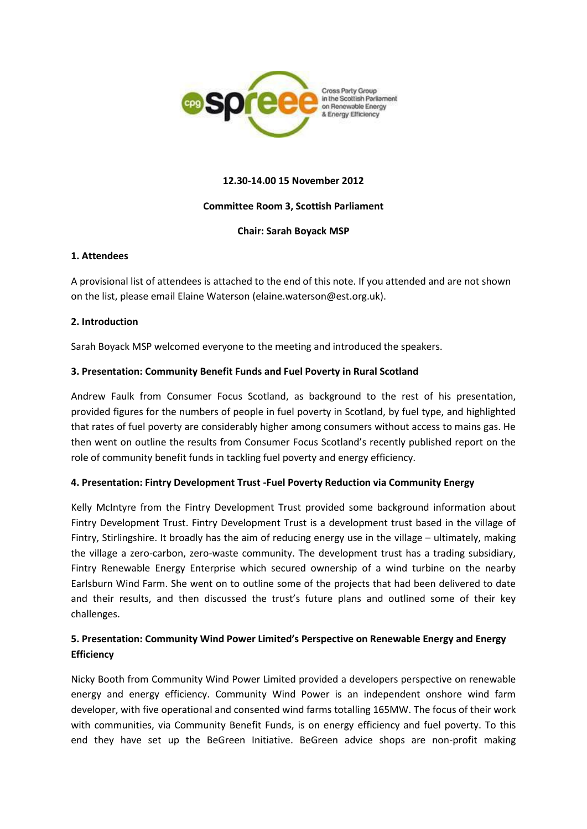

### **12.30-14.00 15 November 2012**

### **Committee Room 3, Scottish Parliament**

## **Chair: Sarah Boyack MSP**

#### **1. Attendees**

A provisional list of attendees is attached to the end of this note. If you attended and are not shown on the list, please email Elaine Waterson (elaine.waterson@est.org.uk).

## **2. Introduction**

Sarah Boyack MSP welcomed everyone to the meeting and introduced the speakers.

## **3. Presentation: Community Benefit Funds and Fuel Poverty in Rural Scotland**

Andrew Faulk from Consumer Focus Scotland, as background to the rest of his presentation, provided figures for the numbers of people in fuel poverty in Scotland, by fuel type, and highlighted that rates of fuel poverty are considerably higher among consumers without access to mains gas. He then went on outline the results from Consumer Focus Scotland's recently published report on the role of community benefit funds in tackling fuel poverty and energy efficiency.

#### **4. Presentation: Fintry Development Trust -Fuel Poverty Reduction via Community Energy**

Kelly McIntyre from the Fintry Development Trust provided some background information about Fintry Development Trust. Fintry Development Trust is a development trust based in the village of Fintry, Stirlingshire. It broadly has the aim of reducing energy use in the village – ultimately, making the village a zero-carbon, zero-waste community. The development trust has a trading subsidiary, Fintry Renewable Energy Enterprise which secured ownership of a wind turbine on the nearby Earlsburn Wind Farm. She went on to outline some of the projects that had been delivered to date and their results, and then discussed the trust's future plans and outlined some of their key challenges.

# **5. Presentation: Community Wind Power Limited's Perspective on Renewable Energy and Energy Efficiency**

Nicky Booth from Community Wind Power Limited provided a developers perspective on renewable energy and energy efficiency. Community Wind Power is an independent onshore wind farm developer, with five operational and consented wind farms totalling 165MW. The focus of their work with communities, via Community Benefit Funds, is on energy efficiency and fuel poverty. To this end they have set up the BeGreen Initiative. BeGreen advice shops are non-profit making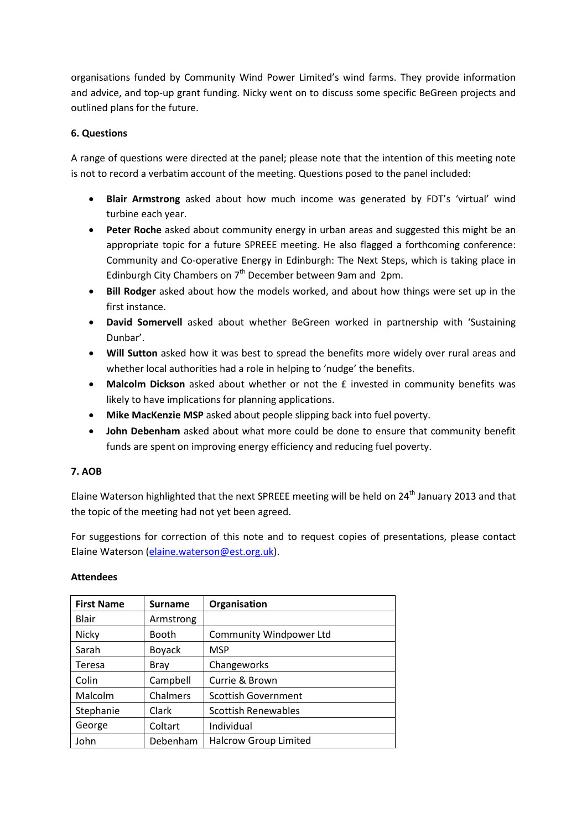organisations funded by Community Wind Power Limited's wind farms. They provide information and advice, and top-up grant funding. Nicky went on to discuss some specific BeGreen projects and outlined plans for the future.

# **6. Questions**

A range of questions were directed at the panel; please note that the intention of this meeting note is not to record a verbatim account of the meeting. Questions posed to the panel included:

- **Blair Armstrong** asked about how much income was generated by FDT's 'virtual' wind turbine each year.
- **Peter Roche** asked about community energy in urban areas and suggested this might be an appropriate topic for a future SPREEE meeting. He also flagged a forthcoming conference: Community and Co-operative Energy in Edinburgh: The Next Steps, which is taking place in Edinburgh City Chambers on  $7<sup>th</sup>$  December between 9am and 2pm.
- **Bill Rodger** asked about how the models worked, and about how things were set up in the first instance.
- **David Somervell** asked about whether BeGreen worked in partnership with 'Sustaining Dunbar'.
- **Will Sutton** asked how it was best to spread the benefits more widely over rural areas and whether local authorities had a role in helping to 'nudge' the benefits.
- **Malcolm Dickson** asked about whether or not the £ invested in community benefits was likely to have implications for planning applications.
- **Mike MacKenzie MSP** asked about people slipping back into fuel poverty.
- **John Debenham** asked about what more could be done to ensure that community benefit funds are spent on improving energy efficiency and reducing fuel poverty.

# **7. AOB**

Elaine Waterson highlighted that the next SPREEE meeting will be held on 24<sup>th</sup> January 2013 and that the topic of the meeting had not yet been agreed.

For suggestions for correction of this note and to request copies of presentations, please contact Elaine Waterson [\(elaine.waterson@est.org.uk\)](mailto:elaine.waterson@est.org.uk).

| <b>First Name</b> | <b>Surname</b> | Organisation                 |
|-------------------|----------------|------------------------------|
| <b>Blair</b>      | Armstrong      |                              |
| Nicky             | <b>Booth</b>   | Community Windpower Ltd      |
| Sarah             | <b>Boyack</b>  | <b>MSP</b>                   |
| Teresa            | Bray           | Changeworks                  |
| Colin             | Campbell       | Currie & Brown               |
| Malcolm           | Chalmers       | <b>Scottish Government</b>   |
| Stephanie         | Clark          | <b>Scottish Renewables</b>   |
| George            | Coltart        | Individual                   |
| John              | Debenham       | <b>Halcrow Group Limited</b> |

# **Attendees**